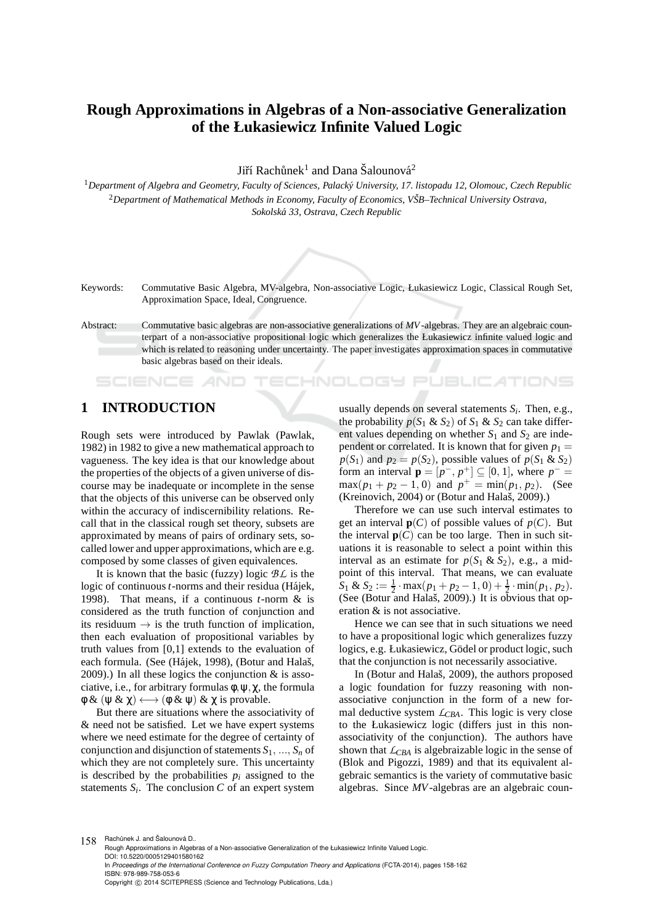# **Rough Approximations in Algebras of a Non-associative Generalization of the Łukasiewicz Infinite Valued Logic**

Jiří Rachůnek $^1$  and Dana Šalounová $^2$ 

<sup>1</sup>Department of Algebra and Geometry, Faculty of Sciences, Palacký University, 17. listopadu 12, Olomouc, Czech Republic <sup>2</sup>*Department of Mathematical Methods in Economy, Faculty of Economics, VSB–Technical University Ostrava, ˇ Sokolsk´a 33, Ostrava, Czech Republic*



Keywords: Commutative Basic Algebra, MV-algebra, Non-associative Logic, Łukasiewicz Logic, Classical Rough Set, Approximation Space, Ideal, Congruence.

Abstract: Commutative basic algebras are non-associative generalizations of *MV*-algebras. They are an algebraic counterpart of a non-associative propositional logic which generalizes the Łukasiewicz infinite valued logic and which is related to reasoning under uncertainty. The paper investigates approximation spaces in commutative basic algebras based on their ideals.

# **1 INTRODUCTION**

SCIENCE *A*ND

Rough sets were introduced by Pawlak (Pawlak, 1982) in 1982 to give a new mathematical approach to vagueness. The key idea is that our knowledge about the properties of the objects of a given universe of discourse may be inadequate or incomplete in the sense that the objects of this universe can be observed only within the accuracy of indiscernibility relations. Recall that in the classical rough set theory, subsets are approximated by means of pairs of ordinary sets, socalled lower and upper approximations, which are e.g. composed by some classes of given equivalences.

It is known that the basic (fuzzy) logic *BL* is the logic of continuous *t*-norms and their residua (Hájek, 1998). That means, if a continuous *t*-norm & is considered as the truth function of conjunction and its residuum  $\rightarrow$  is the truth function of implication, then each evaluation of propositional variables by truth values from [0,1] extends to the evaluation of each formula. (See (Hájek, 1998), (Botur and Halaš, 2009).) In all these logics the conjunction  $\&$  is associative, i.e., for arbitrary formulas  $\phi$ ,  $\psi$ ,  $\chi$ , the formula  $\phi \& (\psi \& \chi) \longleftrightarrow (\phi \& \psi) \& \chi$  is provable.

But there are situations where the associativity of & need not be satisfied. Let we have expert systems where we need estimate for the degree of certainty of conjunction and disjunction of statements  $S_1, ..., S_n$  of which they are not completely sure. This uncertainty is described by the probabilities  $p_i$  assigned to the statements  $S_i$ . The conclusion  $C$  of an expert system

usually depends on several statements *S<sup>i</sup>* . Then, e.g., the probability  $p(S_1 \& S_2)$  of  $S_1 \& S_2$  can take different values depending on whether  $S_1$  and  $S_2$  are independent or correlated. It is known that for given  $p_1 =$  $p(S_1)$  and  $p_2 = p(S_2)$ , possible values of  $p(S_1 \& S_2)$ form an interval  $\mathbf{p} = [p^-, p^+] \subseteq [0, 1]$ , where  $p^- =$  $max(p_1 + p_2 - 1, 0)$  and  $p^+ = min(p_1, p_2)$ . (See (Kreinovich, 2004) or (Botur and Halaš, 2009).)

JBLICATIONS

Therefore we can use such interval estimates to get an interval  $p(C)$  of possible values of  $p(C)$ . But the interval  $p(C)$  can be too large. Then in such situations it is reasonable to select a point within this interval as an estimate for  $p(S_1 \& S_2)$ , e.g., a midpoint of this interval. That means, we can evaluate  $S_1$  &  $S_2 := \frac{1}{2} \cdot \max(p_1 + p_2 - 1, 0) + \frac{1}{2} \cdot \min(p_1, p_2)$ . (See (Botur and Halaš, 2009).) It is obvious that operation & is not associative.

Hence we can see that in such situations we need to have a propositional logic which generalizes fuzzy logics, e.g. Łukasiewicz, Gödel or product logic, such that the conjunction is not necessarily associative.

In (Botur and Halaš, 2009), the authors proposed a logic foundation for fuzzy reasoning with nonassociative conjunction in the form of a new formal deductive system *LCBA*. This logic is very close to the Łukasiewicz logic (differs just in this nonassociativity of the conjunction). The authors have shown that  $L_{CBA}$  is algebraizable logic in the sense of (Blok and Pigozzi, 1989) and that its equivalent algebraic semantics is the variety of commutative basic algebras. Since *MV*-algebras are an algebraic coun-

158 Rachůnek J. and Šalounová D..

Rough Approximations in Algebras of a Non-associative Generalization of the Łukasiewicz Infinite Valued Logic. DOI: 10.5220/0005129401580162 In *Proceedings of the International Conference on Fuzzy Computation Theory and Applications* (FCTA-2014), pages 158-162 ISBN: 978-989-758-053-6

Copyright © 2014 SCITEPRESS (Science and Technology Publications, Lda.)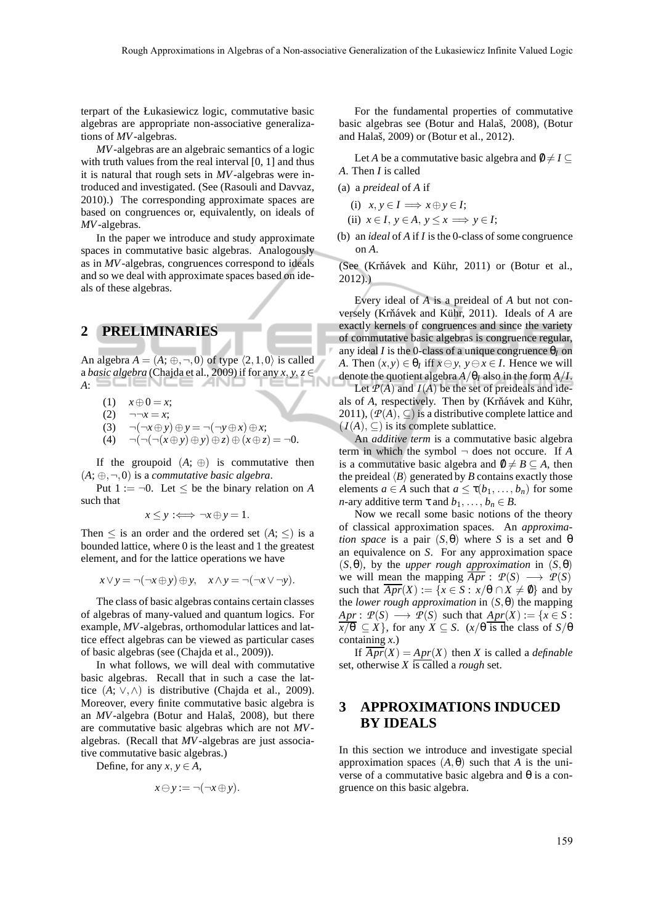terpart of the Łukasiewicz logic, commutative basic algebras are appropriate non-associative generalizations of *MV*-algebras.

*MV*-algebras are an algebraic semantics of a logic with truth values from the real interval [0, 1] and thus it is natural that rough sets in *MV*-algebras were introduced and investigated. (See (Rasouli and Davvaz, 2010).) The corresponding approximate spaces are based on congruences or, equivalently, on ideals of *MV*-algebras.

In the paper we introduce and study approximate spaces in commutative basic algebras. Analogously as in *MV*-algebras, congruences correspond to ideals and so we deal with approximate spaces based on ideals of these algebras.

# **2 PRELIMINARIES**

An algebra  $A = (A; \oplus, \neg, 0)$  of type  $\langle 2,1,0 \rangle$  is called a *basic algebra* (Chajda et al., 2009) if for any  $x, y, z \in$ *A*:

- (1)  $x \oplus 0 = x$ ;
- (2)  $\neg\neg x = x;$
- (3)  $\neg(\neg x \oplus y) \oplus y = \neg(\neg y \oplus x) \oplus x;$
- (4) ¬(¬(¬(*x*⊕*y*)⊕*y*)⊕*z*)⊕(*x*⊕*z*) = ¬0.

If the groupoid  $(A; \oplus)$  is commutative then  $(A; \oplus, \neg, 0)$  is a *commutative basic algebra*.

Put  $1 := \neg 0$ . Let  $\leq$  be the binary relation on *A* such that

 $x \le y \implies \neg x \oplus y = 1.$ 

Then  $\leq$  is an order and the ordered set  $(A; \leq)$  is a bounded lattice, where 0 is the least and 1 the greatest element, and for the lattice operations we have

$$
x \vee y = \neg(\neg x \oplus y) \oplus y, \quad x \wedge y = \neg(\neg x \vee \neg y).
$$

The class of basic algebras contains certain classes of algebras of many-valued and quantum logics. For example, *MV*-algebras, orthomodular lattices and lattice effect algebras can be viewed as particular cases of basic algebras (see (Chajda et al., 2009)).

In what follows, we will deal with commutative basic algebras. Recall that in such a case the lattice  $(A; \vee, \wedge)$  is distributive (Chajda et al., 2009). Moreover, every finite commutative basic algebra is an *MV*-algebra (Botur and Halaš, 2008), but there are commutative basic algebras which are not *MV*algebras. (Recall that *MV*-algebras are just associative commutative basic algebras.)

Define, for any  $x, y \in A$ ,

$$
x \ominus y := \neg(\neg x \oplus y).
$$

For the fundamental properties of commutative basic algebras see (Botur and Halaš, 2008), (Botur and Halaš, 2009) or (Botur et al., 2012).

Let *A* be a commutative basic algebra and  $\emptyset \neq I \subseteq$ *A*. Then *I* is called

- (a) a *preideal* of *A* if
	- (i)  $x, y \in I \implies x \oplus y \in I$ ;
	- (ii)  $x \in I$ ,  $y \in A$ ,  $y \le x \implies y \in I$ ;
- (b) an *ideal* of *A* if *I* is the 0-class of some congruence on *A*.

(See (Krňávek and Kühr, 2011) or (Botur et al., 2012).)

Every ideal of *A* is a preideal of *A* but not conversely (Krňávek and Kühr, 2011). Ideals of *A* are exactly kernels of congruences and since the variety of commutative basic algebras is congruence regular, any ideal *I* is the 0-class of a unique congruence  $\theta$ <sup>*I*</sup> on *A*. Then  $(x, y) \in \theta_I$  iff  $x \ominus y$ ,  $y \ominus x \in I$ . Hence we will denote the quotient algebra  $A/\theta_I$  also in the form  $A/I$ .

Let  $P(A)$  and  $I(A)$  be the set of preideals and ideals of *A*, respectively. Then by (Krňávek and Kühr, 2011),  $(\mathcal{P}(A), \subseteq)$  is a distributive complete lattice and  $(I(A), \subseteq)$  is its complete sublattice.

An *additive term* is a commutative basic algebra term in which the symbol  $\neg$  does not occure. If A is a commutative basic algebra and  $\emptyset \neq B \subseteq A$ , then the preideal  $\langle B \rangle$  generated by *B* contains exactly those elements  $a \in A$  such that  $a \leq \tau(b_1, \ldots, b_n)$  for some *n*-ary additive term  $\tau$  and  $b_1, \ldots, b_n \in B$ .

Now we recall some basic notions of the theory of classical approximation spaces. An *approximation space* is a pair  $(S, \theta)$  where *S* is a set and  $\theta$ an equivalence on *S*. For any approximation space (*S*,θ), by the *upper rough approximation* in (*S*,θ) we will mean the mapping  $Apr: \mathcal{P}(S) \longrightarrow \mathcal{P}(S)$ such that  $\overline{Apr}(X) := \{x \in S : x/\theta \cap X \neq \emptyset\}$  and by the *lower rough approximation* in (*S*,θ) the mapping  $Apr: \mathcal{P}(S) \longrightarrow \mathcal{P}(S)$  such that  $Apr(X) := \{x \in S:$  $\overline{x/\theta} \subseteq X$ , for any  $X \subseteq S$ . ( $x/\theta$  is the class of  $S/\theta$ containing *x*.)

If  $\overline{Apr}(X) = Apr(X)$  then *X* is called a *definable* set, otherwise *X* is called a *rough* set.

# **3 APPROXIMATIONS INDUCED BY IDEALS**

In this section we introduce and investigate special approximation spaces  $(A, θ)$  such that *A* is the universe of a commutative basic algebra and θ is a congruence on this basic algebra.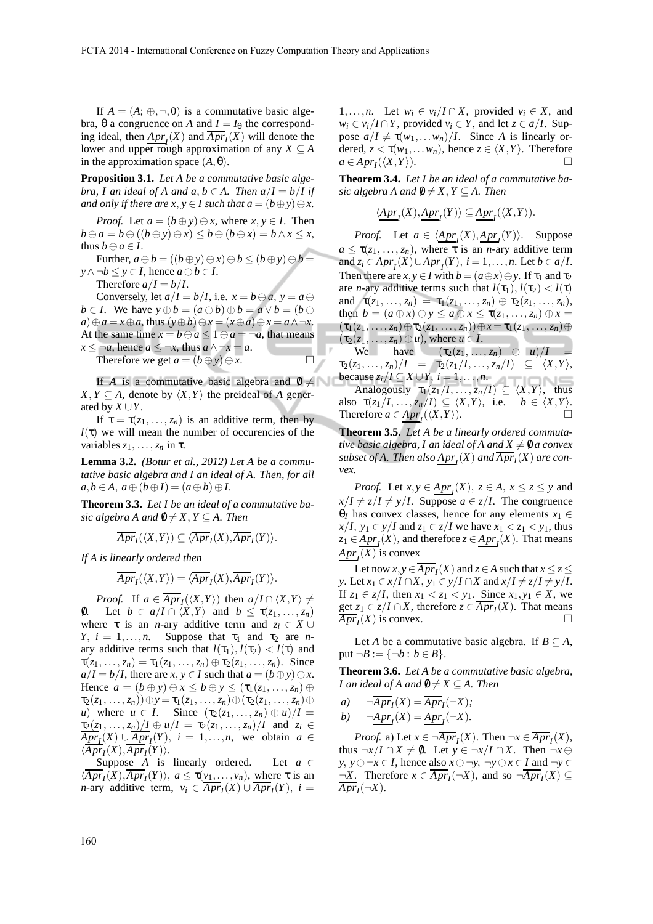. .

If  $A = (A; \oplus, \neg, 0)$  is a commutative basic algebra, θ a congruence on *A* and  $I = I_θ$  the corresponding ideal, then  $\frac{Apr_I(X)}{Apr_I(X)}$  will denote the lower and upper rough approximation of any  $X \subseteq A$ in the approximation space  $(A, \theta)$ .

**Proposition 3.1.** *Let A be a commutative basic algebra, I an ideal of A and a, b*  $\in$  *A. Then a*/*I* = *b*/*I if and only if there are*  $x, y \in I$  *such that*  $a = (b \oplus y) \ominus x$ *.* 

*Proof.* Let  $a = (b \oplus y) \ominus x$ , where  $x, y \in I$ . Then  $b \ominus a = b \ominus ((b \oplus y) \ominus x) \leq b \ominus (b \ominus x) = b \wedge x \leq x$ , thus  $b \ominus a \in I$ .

Further,  $a \ominus b = ((b \oplus y) \ominus x) \ominus b \le (b \oplus y) \ominus b =$ *y* ∧ ¬*b*  $\le$  *y* ∈ *I*, hence *a*  $\ominus$  *b* ∈ *I*.

Therefore  $a/I = b/I$ .

Conversely, let  $a/I = b/I$ , i.e.  $x = b \ominus a$ ,  $y = a \ominus a$ *b* ∈ *I*. We have  $y \oplus b = (a \ominus b) \oplus b = a \vee b = (b \ominus b)$ *a*)⊕*a* = *x*⊕*a*, thus  $(y \oplus b) ⊕ x = (x \oplus a) ⊕ x = a \land \neg x$ . At the same time  $x = b \ominus a \leq 1 \ominus a = \neg a$ , that means *x* ≤ ¬*a*, hence *a* ≤ ¬*x*, thus *a* ∧ ¬*x* = *a*. Therefore we get  $a = (b \oplus y) \ominus x$ .

If *A* is a commutative basic algebra and  $\emptyset \neq \emptyset$  $X, Y \subseteq A$ , denote by  $\langle X, Y \rangle$  the preideal of *A* generated by  $X \cup Y$ .

If  $\tau = \tau(z_1, \ldots, z_n)$  is an additive term, then by  $l(\tau)$  we will mean the number of occurencies of the variables  $z_1, \ldots, z_n$  in  $\tau$ .

**Lemma 3.2.** *(Botur et al., 2012) Let A be a commutative basic algebra and I an ideal of A. Then, for all*  $a, b \in A$ ,  $a \oplus (b \oplus I) = (a \oplus b) \oplus I$ .

**Theorem 3.3.** *Let I be an ideal of a commutative basic algebra A and*  $\emptyset \neq X, Y \subseteq A$ . Then

$$
\overline{Apr}_I(\langle X,Y\rangle)\subseteq \langle \overline{Apr}_I(X), \overline{Apr}_I(Y)\rangle.
$$

*If A is linearly ordered then*

$$
\overline{Apr}_I(\langle X,Y\rangle)=\langle \overline{Apr}_I(X),\overline{Apr}_I(Y)\rangle.
$$

*Proof.* If  $a \in Apr_I(\langle X, Y \rangle)$  then  $a/I \cap \langle X, Y \rangle \neq$ 0. Let  $b \in a/I \cap \langle X, Y \rangle$  and  $b \leq \tau(z_1, \ldots, z_n)$ where  $\tau$  is an *n*-ary additive term and  $z_i \in X \cup$ *Y*,  $i = 1, \ldots, n$ . Suppose that  $\tau_1$  and  $\tau_2$  are *n*ary additive terms such that  $l(\tau_1)$ ,  $l(\tau_2) < l(\tau)$  and  $\tau(z_1, ..., z_n) = \tau_1(z_1, ..., z_n) \oplus \tau_2(z_1, ..., z_n)$ . Since  $a/I = b/I$ , there are *x*,  $y \in I$  such that  $a = (b \oplus y) \ominus x$ . Hence  $a = (b \oplus y) \ominus x \leq b \oplus y \leq (\tau_1(z_1, \ldots, z_n) \oplus$  $\tau_2(z_1, ..., z_n)) \oplus y = \tau_1(z_1, ..., z_n) \oplus (\tau_2(z_1, ..., z_n) \oplus$ *u*) where  $u \in I$ . Since  $(\tau_2(z_1, ..., z_n) \oplus u)/I =$  $\tau_2(z_1, ..., z_n)/I \oplus u/I = \tau_2(z_1, ..., z_n)/I$  and  $z_i \in$  $\overline{Apr}_I(X) \cup \overline{Apr}_I(Y)$ ,  $i = 1,...,n$ , we obtain  $a \in I$  $\langle \overline{Apr}_I(X), \overline{Apr}_I(Y) \rangle.$ 

Suppose *A* is linearly ordered. Let  $a \in$  $\langle Apr_I(X), Apr_I(Y) \rangle$ ,  $a \le \tau(v_1, \ldots, v_n)$ , where  $\tau$  is an *n*-ary additive term,  $v_i \in \overline{Apr}_I(X) \cup \overline{Apr}_I(Y)$ ,  $i =$ 

1,...,*n*. Let  $w_i \in v_i/I \cap X$ , provided  $v_i \in X$ , and  $w_i \in v_i / I \cap Y$ , provided  $v_i \in Y$ , and let  $z \in a / I$ . Suppose  $a/I \neq \tau(w_1,...,w_n)/I$ . Since *A* is linearly ordered,  $z < \tau(w_1,...,w_n)$ , hence  $z \in \langle X, Y \rangle$ . Therefore  $a \in \overline{Apr}_I(\langle X,Y \rangle).$ 

**Theorem 3.4.** *Let I be an ideal of a commutative basic algebra A and*  $\emptyset \neq X, Y \subseteq A$ . Then

$$
\langle \underline{Apr_f}(X), \underline{Apr_f}(Y) \rangle \subseteq \underline{Apr_f}(\langle X, Y \rangle).
$$

*Proof.* Let  $a \in \langle \underline{Apr}_I(X), \underline{Apr}_I(Y) \rangle$ . Suppose  $a \leq \tau(z_1, \ldots, z_n)$ , where  $\tau$  is an *n*-ary additive term and  $z_i \in \underline{Apr}_I(X) \cup \underline{Apr}_I(Y), i = 1, \ldots, n$ . Let  $b \in a/I$ . Then there are  $x, y \in I$  with  $b = (a \oplus x) \ominus y$ . If  $\tau_1$  and  $\tau_2$ are *n*-ary additive terms such that  $l(\tau_1)$ ,  $l(\tau_2) < l(\tau)$ and  $\tau(z_1, ..., z_n) = \tau_1(z_1, ..., z_n) \oplus \tau_2(z_1, ..., z_n),$ then  $b = (a \oplus x) \ominus y \le a \oplus x \le \tau(z_1, \ldots, z_n) \oplus x =$  $(\tau_1(z_1,\ldots,z_n)\oplus\tau_2(z_1,\ldots,z_n))\oplus x=\tau_1(z_1,\ldots,z_n)\oplus$  $(\tau_2(z_1, \ldots, z_n) \oplus u)$ , where  $u \in I$ .

We have  $(\tau_2(z_1, \ldots, z_n) \oplus u)/I$  $\tau_2(z_1, ..., z_n)/I = \tau_2(z_1/I, ..., z_n/I) \subseteq \langle X, Y \rangle$ because  $z_i/I \subseteq X \cup Y$ ,  $i = 1, \ldots, n$ . Analogously  $\tau_1(z_1/I, \ldots, z_n/I) \subseteq \langle X, Y \rangle$ , thus also  $\tau(z_1/I, \ldots, z_n/I) \subseteq \langle X, Y \rangle$ , i.e.  $b \in \langle X, Y \rangle$ . Therefore  $a \in \underline{Apr}_I(\langle X,Y \rangle)$ .

**Theorem 3.5.** *Let A be a linearly ordered commutative basic algebra, I an ideal of A and*  $X \neq 0$  *a convex* subset of A. Then also  $\frac{Apr_I}{X}(X)$  and  $\overline{Apr_I}(X)$  are con*vex.*

*Proof.* Let  $x, y \in \underline{Apr}_I(X)$ ,  $z \in A$ ,  $x \le z \le y$  and  $x/I \neq z/I \neq y/I$ . Suppose  $a \in z/I$ . The congruence θ*I* has convex classes, hence for any elements  $x_1$  ∈  $x/I$ ,  $y_1 \in y/I$  and  $z_1 \in z/I$  we have  $x_1 < z_1 < y_1$ , thus  $z_1 \in \underline{Apr}_I(X)$ , and therefore  $z \in \underline{Apr}_I(X)$ . That means  $Apr<sub>I</sub>(X)$  is convex

Let now  $x, y \in Apr_I(X)$  and  $z \in A$  such that  $x \le z \le$ *y*. Let  $x_1 \in x/I \cap X$ ,  $y_1 \in y/I \cap X$  and  $x/I \neq z/I \neq y/I$ . If *z*<sub>1</sub> ∈ *z*/*I*, then *x*<sub>1</sub> < *z*<sub>1</sub> < *y*<sub>1</sub>. Since *x*<sub>1</sub>, *y*<sub>1</sub> ∈ *X*, we get  $z_1 \in z/I \cap X$ , therefore  $z \in \overline{Apr}_I(X)$ . That means  $\overline{Apr}_I(X)$  is convex.

Let *A* be a commutative basic algebra. If  $B \subseteq A$ , put  $\neg B := \{\neg b : b \in B\}.$ 

**Theorem 3.6.** *Let A be a commutative basic algebra, I* an ideal of A and  $\emptyset \neq X \subseteq A$ . Then

a) 
$$
\overline{\mathcal{A}pr_I}(X) = \overline{Apr_I}(\neg X);
$$

$$
b) \qquad \neg \underline{Apr}_I(X) = \underline{Apr}_I(\neg X).
$$

*Proof.* a) Let  $x \in \neg \overline{Apr}_I(X)$ . Then  $\neg x \in \overline{Apr}_I(X)$ , thus  $\neg x/I \cap X \neq \emptyset$ . Let  $y \in \neg x/I \cap X$ . Then  $\neg x \ominus$ *y*, *y*⊖ ¬*x* ∈ *I*, hence also *x* ⊖ ¬*y*, ¬*y* ⊖ *x* ∈ *I* and ¬*y* ∈  $\neg X$ . Therefore  $x \in Apr_I(\neg X)$ , and so  $\neg Apr_I(X) \subseteq$  $\overline{Apr}_{I}(\neg X).$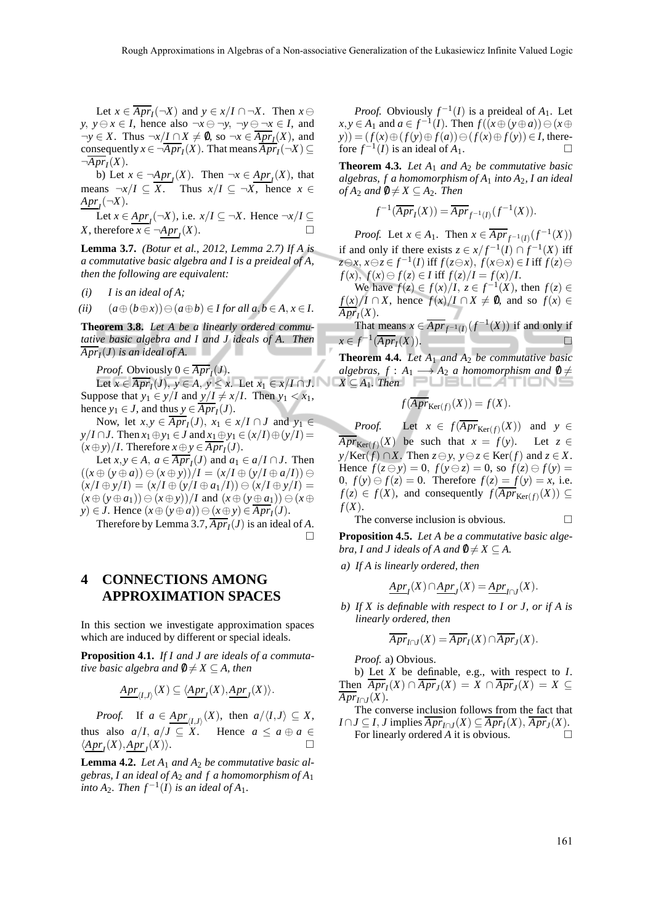Let  $x \in \overline{Apr}_I(\neg X)$  and  $y \in x/I \cap \neg X$ . Then  $x \ominus$ *y*, *y*⊖*x* ∈ *I*, hence also ¬*x* ⊖ ¬*y*, ¬*y* ⊖ ¬*x* ∈ *I*, and  $\neg y \in X$ . Thus  $\neg x / I \cap X \neq \emptyset$ , so  $\neg x \in \overline{Apr_I}(X)$ , and consequently  $x \in \neg \overline{Apr}_I(X)$ . That means  $\overline{Apr}_I(\neg X) \subseteq$  $\neg \overline{Apr}_I(X)$ .

b) Let  $x \in \neg \underline{Apr}_I(X)$ . Then  $\neg x \in \underline{Apr}_I(X)$ , that means  $\neg x/I \subseteq \overline{X}$ . Thus  $x/I \subseteq \neg X$ , hence  $x \in$  $Apr_{I}(\neg X)$ .

Let  $x \in \underline{Apr}(\neg X)$ , i.e.  $x/I \subseteq \neg X$ . Hence  $\neg x/I \subseteq$ *X*, therefore  $\overline{x} \in \neg \underline{Apr}_I(X)$ .

**Lemma 3.7.** *(Botur et al., 2012, Lemma 2.7) If A is a commutative basic algebra and I is a preideal of A, then the following are equivalent:*

*(i) I is an ideal of A;*

(ii) 
$$
(a \oplus (b \oplus x)) \oplus (a \oplus b) \in I
$$
 for all  $a, b \in A, x \in I$ .

**Theorem 3.8.** *Let A be a linearly ordered commutative basic algebra and I and J ideals of A. Then*  $\overline{Apr}_{I}(J)$  *is an ideal of A.* 

*Proof.* Obviously  $0 \in Apr_I(J)$ .

Let  $x \in Apr_I(J)$ ,  $y \in A$ ,  $y \le x$ . Let  $x_1 \in x/I \cap J$ . Suppose that  $y_1 \in y/I$  and  $y/I \neq x/I$ . Then  $y_1 < x_1$ , hence  $y_1 \in J$ , and thus  $y \in \overline{Apr}_I(J)$ .

Now, let  $x, y \in \overline{Apr}_I(J)$ ,  $x_1 \in x/I \cap J$  and  $y_1 \in$ *y*/*I* ∩*J*. Then  $x_1 ⊕ y_1 ∈ J$  and  $x_1 ⊕ y_1 ∈ (x/I) ⊕ (y/I) =$  $(x \oplus y)/I$ . Therefore  $x \oplus y \in \overline{Apr}_I(J)$ .

Let  $x, y \in A$ ,  $a \in \overline{Apr}_I(J)$  and  $a_1 \in a/I \cap J$ . Then  $((x \oplus (y \oplus a)) \ominus (x \oplus y))/I = (x/I \oplus (y/I \oplus a/I)) \ominus$  $(x/I \oplus y/I) = (x/I \oplus (y/I \oplus a_1/I)) \oplus (x/I \oplus y/I) =$  $(x \oplus (y \oplus a_1)) \ominus (x \oplus y))/I$  and  $(x \oplus (y \oplus a_1)) \ominus (x \oplus y)$ *y*) ∈ *J*. Hence  $(x \oplus (y \oplus a)) \ominus (x \oplus y) \in \overline{Apr_I}(J)$ .

Therefore by Lemma 3.7,  $Apr_I(J)$  is an ideal of *A*.  $\Box$ 

**4 CONNECTIONS AMONG APPROXIMATION SPACES**

In this section we investigate approximation spaces which are induced by different or special ideals.

**Proposition 4.1.** *If I and J are ideals of a commutative basic algebra and*  $\emptyset \neq X \subseteq A$ *, then* 

$$
\underline{Apr}_{\langle I,J\rangle}(X)\subseteq \langle \underline{Apr_{I}}(X),\underline{Apr_{J}}(X)\rangle.
$$

*Proof.* If  $a \in \underline{Apr}_{(I,J)}(X)$ , then  $a/\langle I,J \rangle \subseteq X$ , thus also  $a/I$ ,  $a/J \subseteq X$ . Hence  $a \le a \oplus a \in$  $\langle \underline{Apr}_I(X), \underline{Apr}_J(X) \rangle.$ 

**Lemma 4.2.** *Let A*<sup>1</sup> *and A*<sup>2</sup> *be commutative basic algebras, I an ideal of A*<sup>2</sup> *and f a homomorphism of A*<sup>1</sup> *into*  $A_2$ *. Then*  $f^{-1}(I)$  *is an ideal of*  $A_1$ *.* 

*Proof.* Obviously  $f^{-1}(I)$  is a preideal of  $A_1$ . Let  $x, y \in A_1$  and  $a \in f^{-1}(I)$ . Then  $f((x \oplus (y \oplus a)) \ominus (x \oplus a))$ *y*)) = (*f*(*x*) ⊕ (*f*(*y*) ⊕ *f*(*a*)) ⊖ (*f*(*x*) ⊕ *f*(*y*)) ∈ *I*, therefore  $f^{-1}(I)$  is an ideal of  $A_1$ .

**Theorem 4.3.** Let  $A_1$  and  $A_2$  be commutative basic *algebras, f a homomorphism of A*<sup>1</sup> *into A*2*, I an ideal of*  $A_2$  *and*  $\emptyset \neq X \subseteq A_2$ *. Then* 

$$
f^{-1}(\overline{Apr}_I(X)) = \overline{Apr}_{f^{-1}(I)}(f^{-1}(X)).
$$

*Proof.* Let  $x \in A_1$ . Then  $x \in \overline{Apr}_{f^{-1}(I)}(f^{-1}(X))$ if and only if there exists  $z \in x/f^{-1}(I) \cap f^{-1}(X)$  iff *z*⊖*x*, *x*⊖*z*∈*f*<sup>-1</sup>(*I*) iff *f*(*z*⊖*x*), *f*(*x*⊖*x*) ∈ *I* iff *f*(*z*)⊖ *f*(*x*), *f*(*x*)⊖ *f*(*z*) ∈ *I* iff  $f(z)/I = f(x)/I$ .

We have  $f(z) \in f(x)/I$ ,  $z \in f^{-1}(X)$ , then  $f(z) \in$  $f(x)/I \cap X$ , hence  $f(x)/I \cap X \neq \emptyset$ , and so  $f(x) \in$  $Apr_I(X)$ .

That means  $x \in \overline{Apr}_{f^{-1}(I)}(f^{-1}(X))$  if and only if  $x \in f^{-1}(\overline{Apr}_I(X)).$   $\Box$ 

**Theorem 4.4.** Let  $A_1$  and  $A_2$  be commutative basic *algebras,*  $f : A_1 \longrightarrow A_2$  *a homomorphism and*  $\emptyset \neq$  $X \subseteq A_1$ *. Then*  $\sim$ 

$$
f(\overline{Apr}_{\text{Ker}(f)}(X)) = f(X).
$$

*Proof.* Let  $x \in f(\overline{Apr}_{\text{Ker}(f)}(X))$  and  $y \in$  $\overline{Apr}_{\text{Ker}(f)}(X)$  be such that  $x = f(y)$ . Let  $z \in$ *y*/Ker(*f*) ∩*X*. Then  $z \ominus y$ ,  $y \ominus z \in \text{Ker}(f)$  and  $z \in X$ . Hence  $f(z \ominus y) = 0$ ,  $f(y \ominus z) = 0$ , so  $f(z) \ominus f(y) = 0$ 0,  $f(y) \ominus f(z) = 0$ . Therefore  $f(z) = f(y) = x$ , i.e. *f*(*z*) ∈ *f*(*X*), and consequently *f*( $\overline{Apr}_{\text{Ker}(f)}(X)$ ) ⊆ *f*(*X*).

The converse inclusion is obvious.  $\Box$ 

**Proposition 4.5.** *Let A be a commutative basic algebra, I and J ideals of A and*  $\emptyset \neq X \subseteq A$ .

*a) If A is linearly ordered, then*

$$
\underline{Apr}_I(X) \cap \underline{Apr}_J(X) = \underline{Apr}_{I \cap J}(X).
$$

*b) If X is definable with respect to I or J, or if A is linearly ordered, then*

$$
\overline{Apr}_{I\cap J}(X)=\overline{Apr}_{I}(X)\cap \overline{Apr}_{J}(X).
$$

*Proof.* a) Obvious.

b) Let *X* be definable, e.g., with respect to *I*.  $\overline{Apr}_I(X) \cap \overline{Apr}_J(X) = X \cap \overline{Apr}_J(X) = X \subseteq$  $\overline{Apr}_{I\cap J}(X)$ .

The converse inclusion follows from the fact that *I* ∩ *J* ⊆ *I*, *J* implies  $\overline{Apr}_{I \cap J}(X) \subseteq \overline{Apr}_I(X)$ ,  $\overline{Apr}_J(X)$ .

For linearly ordered *A* it is obvious.